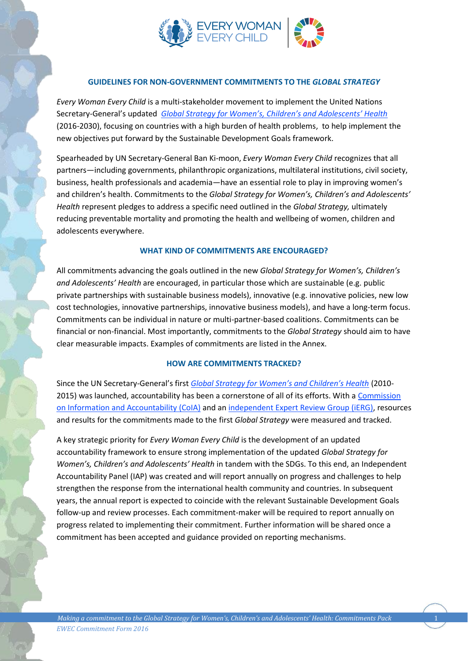

## **GUIDELINES FOR NON-GOVERNMENT COMMITMENTS TO THE** *GLOBAL STRATEGY*

*Every Woman Every Child* is a multi-stakeholder movement to implement the United Nations Secretary-General's updated *[Global Strategy for Women's, Children's and Adolescents' Health](http://globalstrategy.everywomaneverychild.org/pdf/EWEC_globalstrategyreport_200915_FINAL_WEB.pdf)* (2016-2030), focusing on countries with a high burden of health problems, to help implement the new objectives put forward by the Sustainable Development Goals framework.

Spearheaded by UN Secretary-General Ban Ki-moon, *Every Woman Every Child* recognizes that all partners—including governments, philanthropic organizations, multilateral institutions, civil society, business, health professionals and academia—have an essential role to play in improving women's and children's health. Commitments to the *Global Strategy for Women's, Children's and Adolescents' Health* represent pledges to address a specific need outlined in the *Global Strategy,* ultimately reducing preventable mortality and promoting the health and wellbeing of women, children and adolescents everywhere.

#### **WHAT KIND OF COMMITMENTS ARE ENCOURAGED?**

All commitments advancing the goals outlined in the new *Global Strategy for Women's, Children's and Adolescents' Health* are encouraged, in particular those which are sustainable (e.g. public private partnerships with sustainable business models), innovative (e.g. innovative policies, new low cost technologies, innovative partnerships, innovative business models), and have a long-term focus. Commitments can be individual in nature or multi-partner-based coalitions. Commitments can be financial or non-financial. Most importantly, commitments to the *Global Strategy* should aim to have clear measurable impacts. Examples of commitments are listed in the Annex.

#### **HOW ARE COMMITMENTS TRACKED?**

Since the UN Secretary-General's first *[Global Strategy for Women's and Children's Health](http://www.everywomaneverychild.org/images/content/files/global_strategy/full/20100914_gswch_en.pdf)* (2010- 2015) was launched, accountability has been a cornerstone of all of its efforts. With a [Commission](http://www.everywomaneverychild.org/resources/accountability-commission)  [on Information and Accountability \(CoIA\)](http://www.everywomaneverychild.org/resources/accountability-commission) and a[n independent Expert Review Group \(iERG\),](http://www.everywomaneverychild.org/resources/independent-expert-review-group) resources and results for the commitments made to the first *Global Strategy* were measured and tracked.

A key strategic priority for *Every Woman Every Child* is the development of an updated accountability framework to ensure strong implementation of the updated *Global Strategy for Women's, Children's and Adolescents' Health* in tandem with the SDGs. To this end, an Independent Accountability Panel (IAP) was created and will report annually on progress and challenges to help strengthen the response from the international health community and countries. In subsequent years, the annual report is expected to coincide with the relevant Sustainable Development Goals follow-up and review processes. Each commitment-maker will be required to report annually on progress related to implementing their commitment. Further information will be shared once a commitment has been accepted and guidance provided on reporting mechanisms.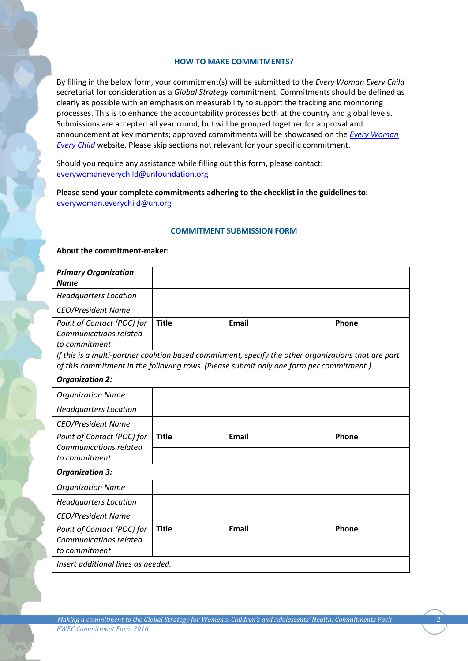#### **HOW TO MAKE COMMITMENTS?**

By filling in the below form, your commitment(s) will be submitted to the *Every Woman Every Child*  secretariat for consideration as a *Global Strategy* commitment. Commitments should be defined as clearly as possible with an emphasis on measurability to support the tracking and monitoring processes. This is to enhance the accountability processes both at the country and global levels. Submissions are accepted all year round, but will be grouped together for approval and announcement at key moments; approved commitments will be showcased on the *[Every Woman](http://www.everywomaneverychild.org/)  [Every Child](http://www.everywomaneverychild.org/)* website. Please skip sections not relevant for your specific commitment.

Should you require any assistance while filling out this form, please contact: [everywomaneverychild@unfoundation.org](mailto:everywomaneverychild@unfoundation.org)

**Please send your complete commitments adhering to the checklist in the guidelines to:** [everywoman.everychild@un.org](mailto:everywoman.everychild@un.org)

#### **COMMITMENT SUBMISSION FORM**

#### **About the commitment-maker:**

| <b>Primary Organization</b>                                 |              |                                                                                                                                                                                                 |       |
|-------------------------------------------------------------|--------------|-------------------------------------------------------------------------------------------------------------------------------------------------------------------------------------------------|-------|
| <b>Name</b>                                                 |              |                                                                                                                                                                                                 |       |
| <b>Headquarters Location</b>                                |              |                                                                                                                                                                                                 |       |
| <b>CEO/President Name</b>                                   |              |                                                                                                                                                                                                 |       |
| Point of Contact (POC) for<br><b>Communications related</b> | <b>Title</b> | <b>Email</b>                                                                                                                                                                                    | Phone |
| to commitment                                               |              |                                                                                                                                                                                                 |       |
|                                                             |              | If this is a multi-partner coalition based commitment, specify the other organizations that are part<br>of this commitment in the following rows. (Please submit only one form per commitment.) |       |
| <b>Organization 2:</b>                                      |              |                                                                                                                                                                                                 |       |
| <b>Organization Name</b>                                    |              |                                                                                                                                                                                                 |       |
| <b>Headquarters Location</b>                                |              |                                                                                                                                                                                                 |       |
| <b>CEO/President Name</b>                                   |              |                                                                                                                                                                                                 |       |
| Point of Contact (POC) for                                  | <b>Title</b> | <b>Email</b>                                                                                                                                                                                    | Phone |
| <b>Communications related</b>                               |              |                                                                                                                                                                                                 |       |
| to commitment                                               |              |                                                                                                                                                                                                 |       |
| <b>Organization 3:</b>                                      |              |                                                                                                                                                                                                 |       |
| <b>Organization Name</b>                                    |              |                                                                                                                                                                                                 |       |
| <b>Headquarters Location</b>                                |              |                                                                                                                                                                                                 |       |
| <b>CEO/President Name</b>                                   |              |                                                                                                                                                                                                 |       |
| Point of Contact (POC) for                                  | <b>Title</b> | <b>Email</b>                                                                                                                                                                                    | Phone |
| Communications related                                      |              |                                                                                                                                                                                                 |       |
| to commitment                                               |              |                                                                                                                                                                                                 |       |
| Insert additional lines as needed.                          |              |                                                                                                                                                                                                 |       |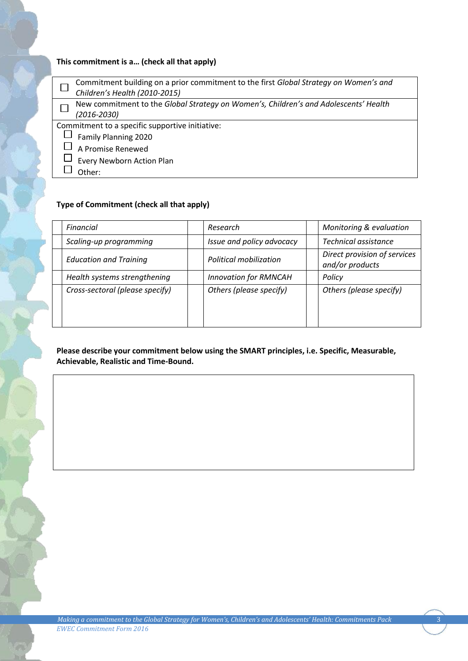# **This commitment is a… (check all that apply)**

| Commitment building on a prior commitment to the first Global Strategy on Women's and<br>Children's Health (2010-2015) |
|------------------------------------------------------------------------------------------------------------------------|
|                                                                                                                        |
| New commitment to the Global Strategy on Women's, Children's and Adolescents' Health                                   |
| $(2016 - 2030)$                                                                                                        |
| Commitment to a specific supportive initiative:                                                                        |
| Family Planning 2020                                                                                                   |
| A Promise Renewed                                                                                                      |
| Every Newborn Action Plan                                                                                              |
| Other:                                                                                                                 |
|                                                                                                                        |

# **Type of Commitment (check all that apply)**

| Financial                       | Research                     | Monitoring & evaluation                         |
|---------------------------------|------------------------------|-------------------------------------------------|
| Scaling-up programming          | Issue and policy advocacy    | Technical assistance                            |
| <b>Education and Training</b>   | Political mobilization       | Direct provision of services<br>and/or products |
| Health systems strengthening    | <b>Innovation for RMNCAH</b> | Policy                                          |
| Cross-sectoral (please specify) | Others (please specify)      | Others (please specify)                         |

**Please describe your commitment below using the SMART principles, i.e. Specific, Measurable, Achievable, Realistic and Time-Bound.**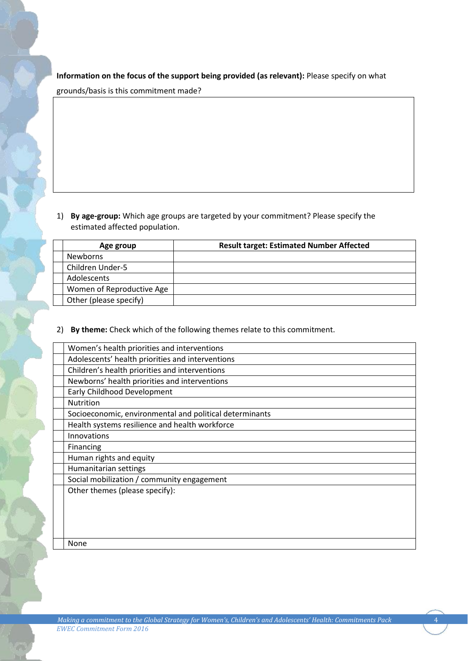**Information on the focus of the support being provided (as relevant):** Please specify on what

grounds/basis is this commitment made?

1) **By age-group:** Which age groups are targeted by your commitment? Please specify the estimated affected population.

| Age group                 | <b>Result target: Estimated Number Affected</b> |
|---------------------------|-------------------------------------------------|
| <b>Newborns</b>           |                                                 |
| Children Under-5          |                                                 |
| <b>Adolescents</b>        |                                                 |
| Women of Reproductive Age |                                                 |
| Other (please specify)    |                                                 |

2) **By theme:** Check which of the following themes relate to this commitment.

| Women's health priorities and interventions             |
|---------------------------------------------------------|
| Adolescents' health priorities and interventions        |
| Children's health priorities and interventions          |
| Newborns' health priorities and interventions           |
| Early Childhood Development                             |
| <b>Nutrition</b>                                        |
| Socioeconomic, environmental and political determinants |
| Health systems resilience and health workforce          |
| Innovations                                             |
| Financing                                               |
| Human rights and equity                                 |
| Humanitarian settings                                   |
| Social mobilization / community engagement              |
| Other themes (please specify):                          |
|                                                         |
|                                                         |
|                                                         |
|                                                         |
| <b>None</b>                                             |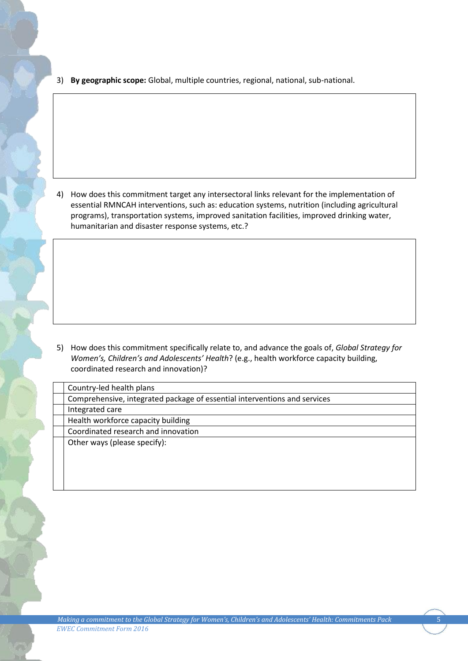3) **By geographic scope:** Global, multiple countries, regional, national, sub-national.

4) How does this commitment target any intersectoral links relevant for the implementation of essential RMNCAH interventions, such as: education systems, nutrition (including agricultural programs), transportation systems, improved sanitation facilities, improved drinking water, humanitarian and disaster response systems, etc.?

5) How does this commitment specifically relate to, and advance the goals of, *Global Strategy for Women's, Children's and Adolescents' Health*? (e.g., health workforce capacity building, coordinated research and innovation)?

| Country-led health plans                                                  |  |
|---------------------------------------------------------------------------|--|
| Comprehensive, integrated package of essential interventions and services |  |
| Integrated care                                                           |  |
| Health workforce capacity building                                        |  |
| Coordinated research and innovation                                       |  |
| Other ways (please specify):                                              |  |
|                                                                           |  |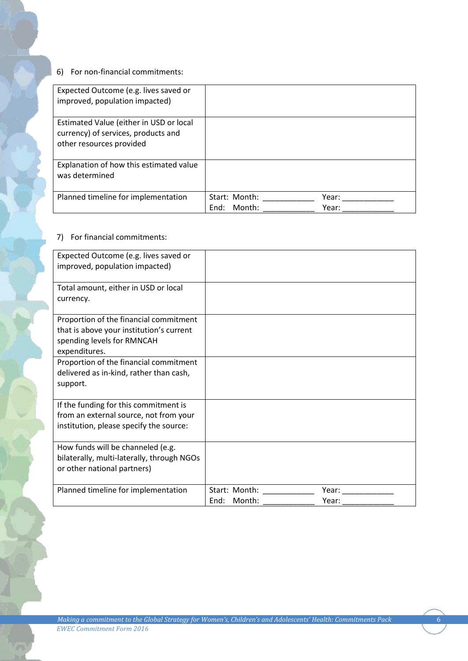## 6) For non-financial commitments:

| Expected Outcome (e.g. lives saved or<br>improved, population impacted)                                    |                                 |                |
|------------------------------------------------------------------------------------------------------------|---------------------------------|----------------|
| Estimated Value (either in USD or local<br>currency) of services, products and<br>other resources provided |                                 |                |
| Explanation of how this estimated value<br>was determined                                                  |                                 |                |
| Planned timeline for implementation                                                                        | Start: Month:<br>Month:<br>End: | Year:<br>Year: |

## 7) For financial commitments:

| Expected Outcome (e.g. lives saved or<br>improved, population impacted)                                                                                                                                                            |                              |                |
|------------------------------------------------------------------------------------------------------------------------------------------------------------------------------------------------------------------------------------|------------------------------|----------------|
| Total amount, either in USD or local<br>currency.                                                                                                                                                                                  |                              |                |
| Proportion of the financial commitment<br>that is above your institution's current<br>spending levels for RMNCAH<br>expenditures.<br>Proportion of the financial commitment<br>delivered as in-kind, rather than cash,<br>support. |                              |                |
| If the funding for this commitment is<br>from an external source, not from your<br>institution, please specify the source:                                                                                                         |                              |                |
| How funds will be channeled (e.g.<br>bilaterally, multi-laterally, through NGOs<br>or other national partners)                                                                                                                     |                              |                |
| Planned timeline for implementation                                                                                                                                                                                                | Start: Month:<br>End: Month: | Year:<br>Year: |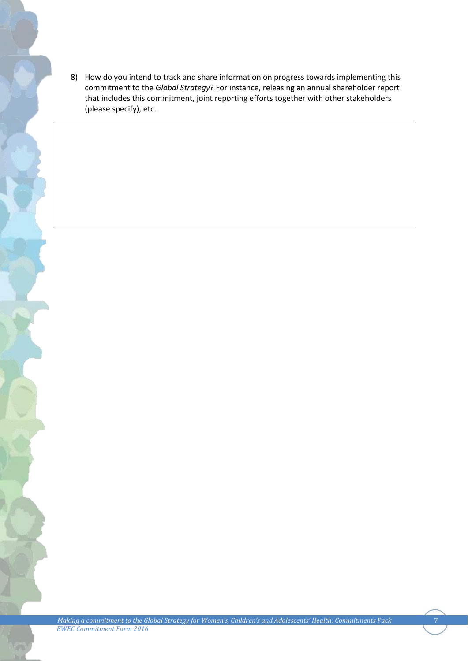8) How do you intend to track and share information on progress towards implementing this commitment to the *Global Strategy*? For instance, releasing an annual shareholder report that includes this commitment, joint reporting efforts together with other stakeholders (please specify), etc.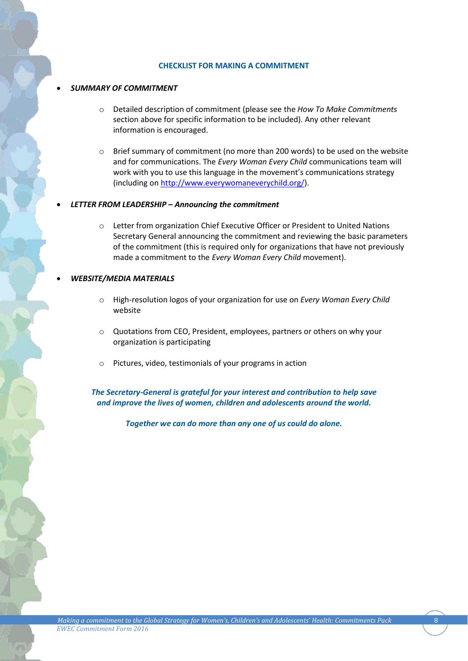#### **CHECKLIST FOR MAKING A COMMITMENT**

### *SUMMARY OF COMMITMENT*

- o Detailed description of commitment (please see the *How To Make Commitments* section above for specific information to be included). Any other relevant information is encouraged.
- $\circ$  Brief summary of commitment (no more than 200 words) to be used on the website and for communications. The *Every Woman Every Child* communications team will work with you to use this language in the movement's communications strategy (including o[n http://www.everywomaneverychild.org/\)](http://www.everywomaneverychild.org/).

## *LETTER FROM LEADERSHIP – Announcing the commitment*

o Letter from organization Chief Executive Officer or President to United Nations Secretary General announcing the commitment and reviewing the basic parameters of the commitment (this is required only for organizations that have not previously made a commitment to the *Every Woman Every Child* movement).

## *WEBSITE/MEDIA MATERIALS*

- o High-resolution logos of your organization for use on *Every Woman Every Child* website
- o Quotations from CEO, President, employees, partners or others on why your organization is participating
- o Pictures, video, testimonials of your programs in action

*The Secretary-General is grateful for your interest and contribution to help save and improve the lives of women, children and adolescents around the world.* 

*Together we can do more than any one of us could do alone.*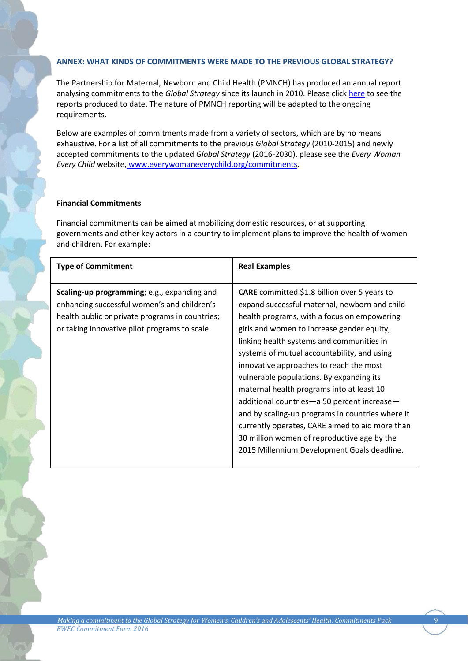## **ANNEX: WHAT KINDS OF COMMITMENTS WERE MADE TO THE PREVIOUS GLOBAL STRATEGY?**

The Partnership for Maternal, Newborn and Child Health (PMNCH) has produced an annual report analysing commitments to the *Global Strategy* since its launch in 2010. Please clic[k here](http://www.who.int/pmnch/activities/accountability/reports/en/) to see the reports produced to date. The nature of PMNCH reporting will be adapted to the ongoing requirements.

Below are examples of commitments made from a variety of sectors, which are by no means exhaustive. For a list of all commitments to the previous *Global Strategy* (2010-2015) and newly accepted commitments to the updated *Global Strategy* (2016-2030), please see the *Every Woman Every Child* website, [www.everywomaneverychild.org/commitments.](http://www.everywomaneverychild.org/commitments)

## **Financial Commitments**

Financial commitments can be aimed at mobilizing domestic resources, or at supporting governments and other key actors in a country to implement plans to improve the health of women and children. For example:

| <b>Type of Commitment</b>                                                                                                                                                                     | <b>Real Examples</b>                                                                                                                                                                                                                                                                                                                                                                                                                                                                                                                                                                                                                                                                  |
|-----------------------------------------------------------------------------------------------------------------------------------------------------------------------------------------------|---------------------------------------------------------------------------------------------------------------------------------------------------------------------------------------------------------------------------------------------------------------------------------------------------------------------------------------------------------------------------------------------------------------------------------------------------------------------------------------------------------------------------------------------------------------------------------------------------------------------------------------------------------------------------------------|
| Scaling-up programming; e.g., expanding and<br>enhancing successful women's and children's<br>health public or private programs in countries;<br>or taking innovative pilot programs to scale | <b>CARE</b> committed \$1.8 billion over 5 years to<br>expand successful maternal, newborn and child<br>health programs, with a focus on empowering<br>girls and women to increase gender equity,<br>linking health systems and communities in<br>systems of mutual accountability, and using<br>innovative approaches to reach the most<br>vulnerable populations. By expanding its<br>maternal health programs into at least 10<br>additional countries-a 50 percent increase-<br>and by scaling-up programs in countries where it<br>currently operates, CARE aimed to aid more than<br>30 million women of reproductive age by the<br>2015 Millennium Development Goals deadline. |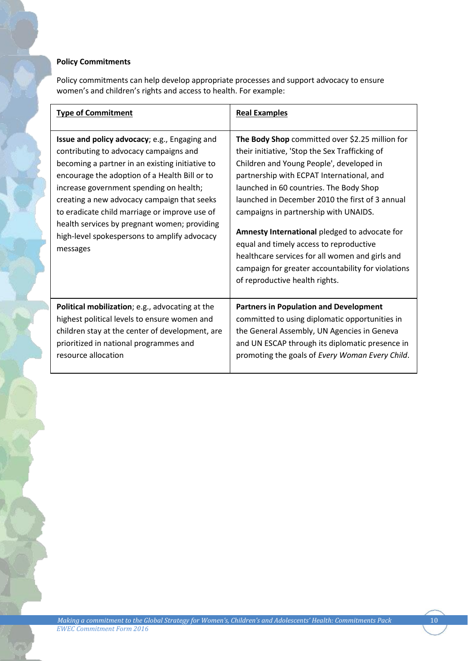# **Policy Commitments**

Policy commitments can help develop appropriate processes and support advocacy to ensure women's and children's rights and access to health. For example:

| <b>Type of Commitment</b>                                                                                                                                                                                                                                                                                                                                                                                                                          | <b>Real Examples</b>                                                                                                                                                                                                                                                                                                                                                                                                                                                                                                                                                     |
|----------------------------------------------------------------------------------------------------------------------------------------------------------------------------------------------------------------------------------------------------------------------------------------------------------------------------------------------------------------------------------------------------------------------------------------------------|--------------------------------------------------------------------------------------------------------------------------------------------------------------------------------------------------------------------------------------------------------------------------------------------------------------------------------------------------------------------------------------------------------------------------------------------------------------------------------------------------------------------------------------------------------------------------|
| Issue and policy advocacy; e.g., Engaging and<br>contributing to advocacy campaigns and<br>becoming a partner in an existing initiative to<br>encourage the adoption of a Health Bill or to<br>increase government spending on health;<br>creating a new advocacy campaign that seeks<br>to eradicate child marriage or improve use of<br>health services by pregnant women; providing<br>high-level spokespersons to amplify advocacy<br>messages | The Body Shop committed over \$2.25 million for<br>their initiative, 'Stop the Sex Trafficking of<br>Children and Young People', developed in<br>partnership with ECPAT International, and<br>launched in 60 countries. The Body Shop<br>launched in December 2010 the first of 3 annual<br>campaigns in partnership with UNAIDS.<br>Amnesty International pledged to advocate for<br>equal and timely access to reproductive<br>healthcare services for all women and girls and<br>campaign for greater accountability for violations<br>of reproductive health rights. |
| Political mobilization; e.g., advocating at the<br>highest political levels to ensure women and<br>children stay at the center of development, are<br>prioritized in national programmes and<br>resource allocation                                                                                                                                                                                                                                | <b>Partners in Population and Development</b><br>committed to using diplomatic opportunities in<br>the General Assembly, UN Agencies in Geneva<br>and UN ESCAP through its diplomatic presence in<br>promoting the goals of Every Woman Every Child.                                                                                                                                                                                                                                                                                                                     |